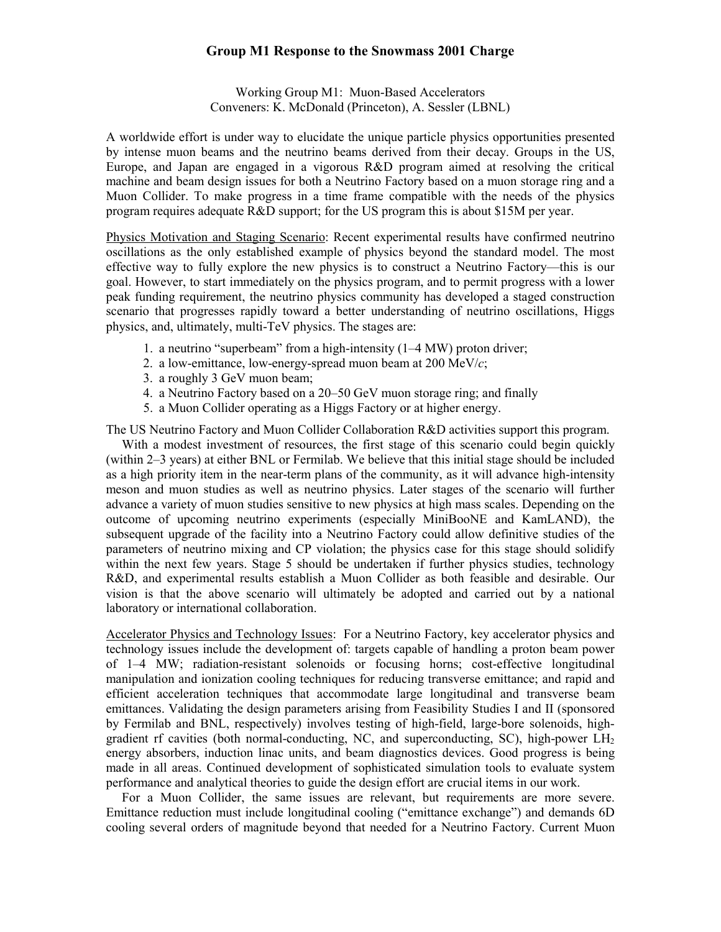## **Group M1 Response to the Snowmass 2001 Charge**

Working Group M1: Muon-Based Accelerators Conveners: K. McDonald (Princeton), A. Sessler (LBNL)

A worldwide effort is under way to elucidate the unique particle physics opportunities presented by intense muon beams and the neutrino beams derived from their decay. Groups in the US, Europe, and Japan are engaged in a vigorous R&D program aimed at resolving the critical machine and beam design issues for both a Neutrino Factory based on a muon storage ring and a Muon Collider. To make progress in a time frame compatible with the needs of the physics program requires adequate R&D support; for the US program this is about \$15M per year.

Physics Motivation and Staging Scenario: Recent experimental results have confirmed neutrino oscillations as the only established example of physics beyond the standard model. The most effective way to fully explore the new physics is to construct a Neutrino Factory—this is our goal. However, to start immediately on the physics program, and to permit progress with a lower peak funding requirement, the neutrino physics community has developed a staged construction scenario that progresses rapidly toward a better understanding of neutrino oscillations, Higgs physics, and, ultimately, multi-TeV physics. The stages are:

- 1. a neutrino "superbeam" from a high-intensity (1–4 MW) proton driver;
- 2. a low-emittance, low-energy-spread muon beam at 200 MeV/*c*;
- 3. a roughly 3 GeV muon beam;
- 4. a Neutrino Factory based on a 20–50 GeV muon storage ring; and finally
- 5. a Muon Collider operating as a Higgs Factory or at higher energy.

The US Neutrino Factory and Muon Collider Collaboration R&D activities support this program.

With a modest investment of resources, the first stage of this scenario could begin quickly (within 2–3 years) at either BNL or Fermilab. We believe that this initial stage should be included as a high priority item in the near-term plans of the community, as it will advance high-intensity meson and muon studies as well as neutrino physics. Later stages of the scenario will further advance a variety of muon studies sensitive to new physics at high mass scales. Depending on the outcome of upcoming neutrino experiments (especially MiniBooNE and KamLAND), the subsequent upgrade of the facility into a Neutrino Factory could allow definitive studies of the parameters of neutrino mixing and CP violation; the physics case for this stage should solidify within the next few years. Stage 5 should be undertaken if further physics studies, technology R&D, and experimental results establish a Muon Collider as both feasible and desirable. Our vision is that the above scenario will ultimately be adopted and carried out by a national laboratory or international collaboration.

Accelerator Physics and Technology Issues: For a Neutrino Factory, key accelerator physics and technology issues include the development of: targets capable of handling a proton beam power of 1–4 MW; radiation-resistant solenoids or focusing horns; cost-effective longitudinal manipulation and ionization cooling techniques for reducing transverse emittance; and rapid and efficient acceleration techniques that accommodate large longitudinal and transverse beam emittances. Validating the design parameters arising from Feasibility Studies I and II (sponsored by Fermilab and BNL, respectively) involves testing of high-field, large-bore solenoids, highgradient rf cavities (both normal-conducting, NC, and superconducting, SC), high-power  $LH<sub>2</sub>$ energy absorbers, induction linac units, and beam diagnostics devices. Good progress is being made in all areas. Continued development of sophisticated simulation tools to evaluate system performance and analytical theories to guide the design effort are crucial items in our work.

For a Muon Collider, the same issues are relevant, but requirements are more severe. Emittance reduction must include longitudinal cooling ("emittance exchange") and demands 6D cooling several orders of magnitude beyond that needed for a Neutrino Factory. Current Muon